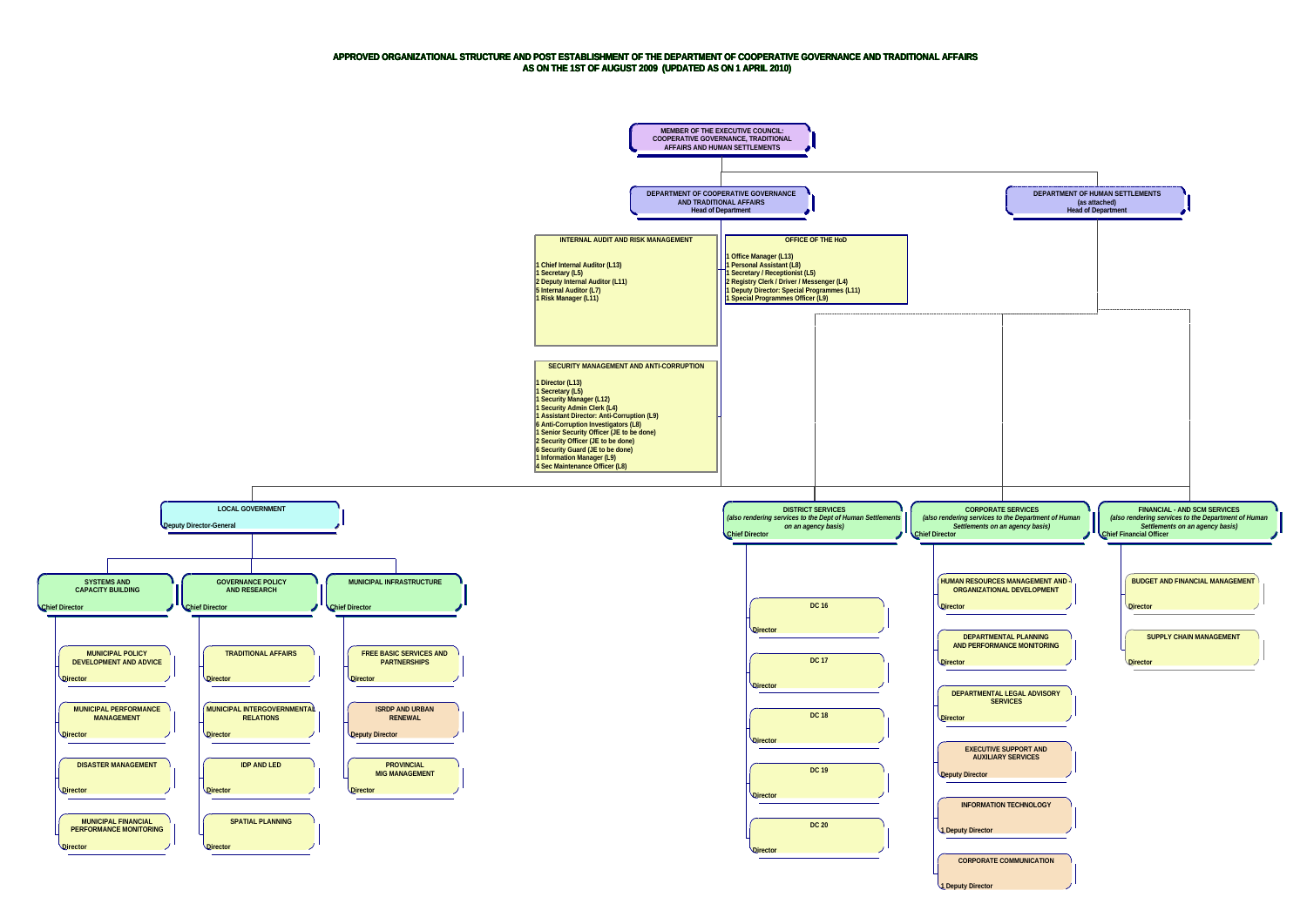## **APPROVED ORGANIZATIONAL STRUCTURE AND POST ESTABLISHMENT OF THE DEPARTMENT OF COOPERATIVE GOVERNANCE AND TRADITIONAL AFFAIRS AS ON THE 1ST OF AUGUST 2009 (UPDATED AS ON 1 APRIL 2010)**

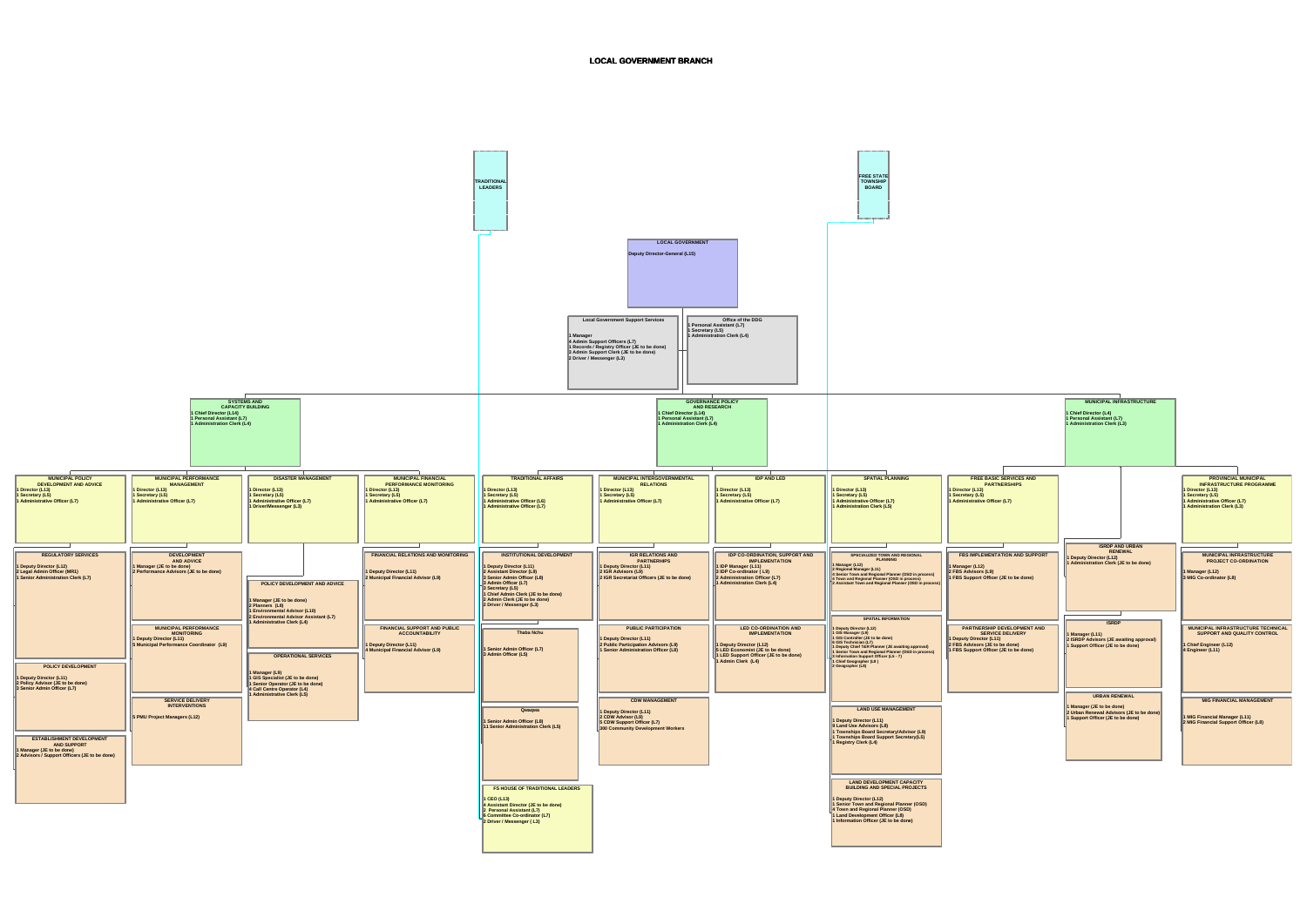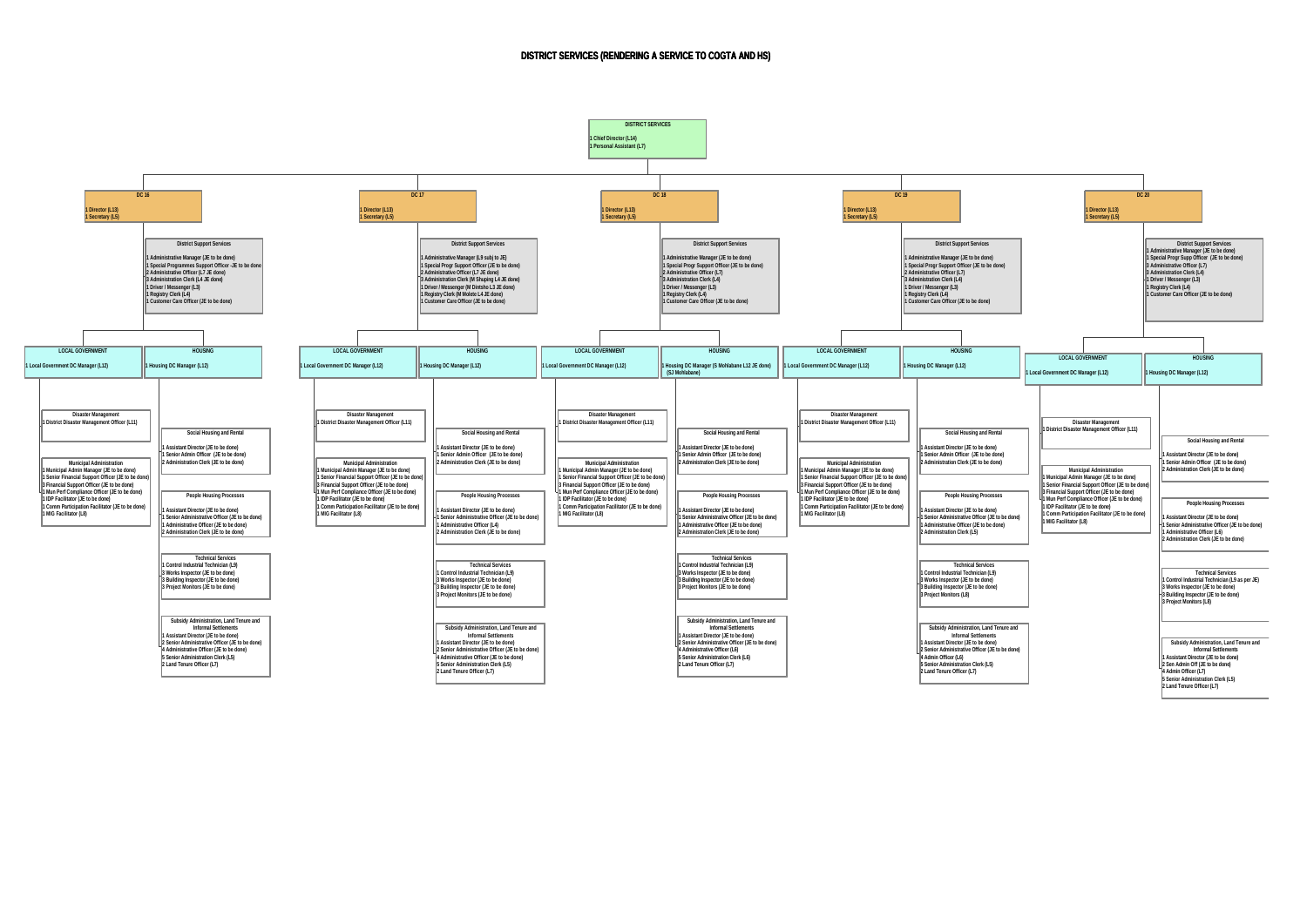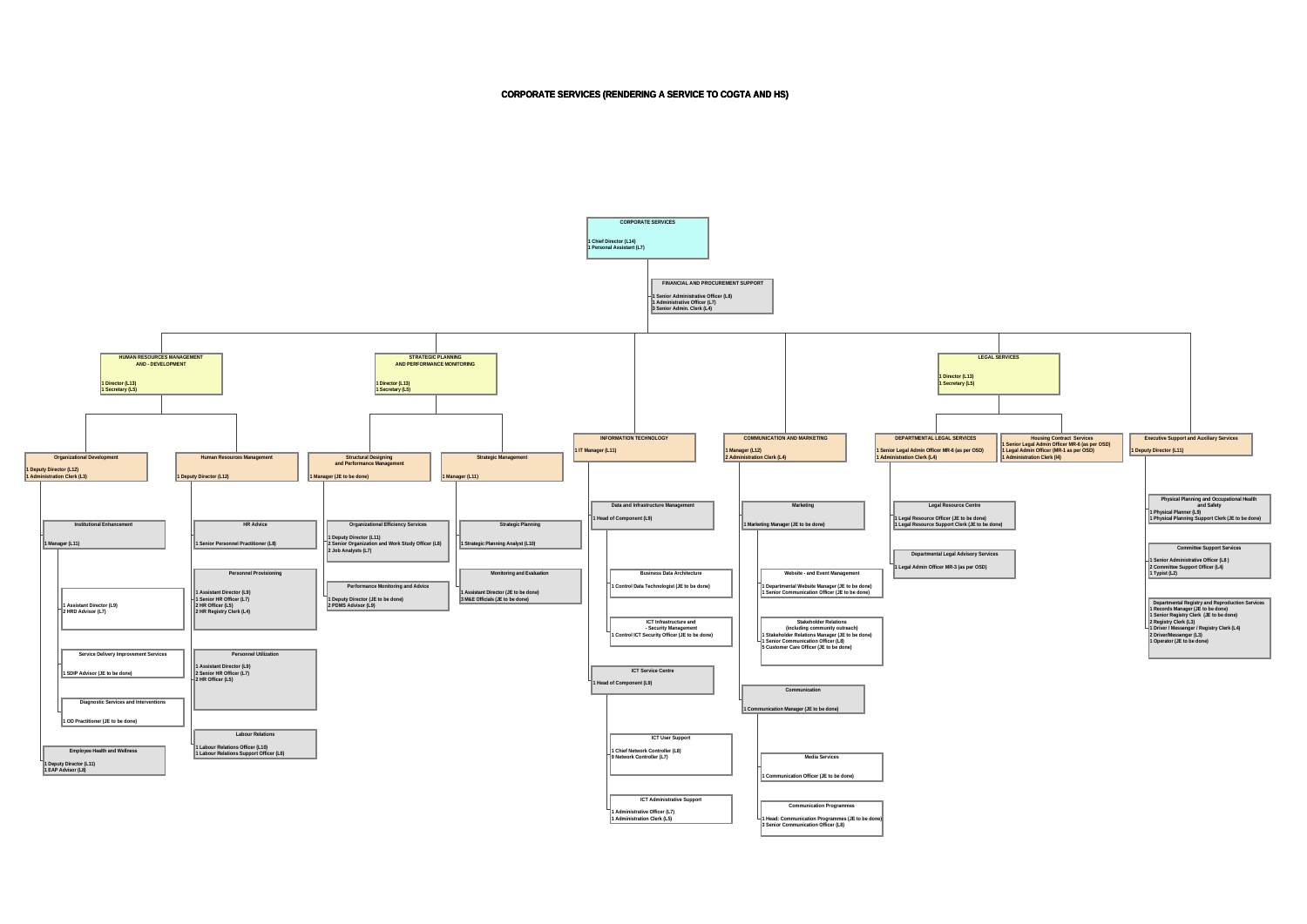**CORPORATE SERVICES (RENDERING A SERVICE TO COGTA AND HS)**

**FINANCIAL AND PROCUREMENT SUPPORT 1 Senior Administrative Officer (L8) 1 Administrative Officer (L7) 3 Senior Admin. Clerk (L4) 1 Assistant Director (L9) 2 HRD Advisor (L7) Service Delivery Improvement Services 1 SDIP Advisor (JE to be done) Diagnostic Services and Interventions 1 OD Practitioner (JE to be done) Institutional Enhancement 1 Manager (L11) Employee Health and Wellness 1 Deputy Director (L11) 1 EAP Advisor (L8) Organizational Development 1 Deputy Director (L12) 1 Administration Clerk (L3) HR Advice 1 Senior Personnel Practitioner (L8) Personnel Provisioning 1 Assistant Director (L9) 1 Senior HR Officer (L7) 2 HR Officer (L5) 2 HR Registry Clerk (L4) Personnel Utilization 1 Assistant Director (L9) 2 Senior HR Officer (L7) 2 HR Officer (L5) Labour Relations 1 Labour Relations Officer (L10) 1 Labour Relations Support Officer (L6) Human Resources Management 1 Deputy Director (L12) HUMAN RESOURCES MANAGEMENT AND - DEVELOPMENT 1 Director (L13) 1 Secretary (L5) Organizational Efficiency Services 1 Deputy Director (L11) 2 Senior Organization and Work Study Officer (L8) 2 Job Analysts (L7) Performance Monitoring and Advice 1 Deputy Director (JE to be done) 2 PDMS Advisor (L9) Structural Designing and Performance Management 1 Manager (JE to be done) Strategic Planning 1 Strategic Planning Analyst (L10) Monitoring and Evaluation 1 Assistant Director (JE to be done) 3 M&E Officials (JE to be done) Strategic Management 1 Manager (L11) STRATEGIC PLANNING AND PERFORMANCE MONITORING 1 Director (L13) 1 Secretary (L5) Business Data Architecture 1 Control Data Technologist (JE to be done) ICT Infrastructure and - Security Management 1 Control ICT Security Officer (JE to be done) Data and Infrastructure Management 1 Head of Component (L9) ICT User Support 1 Chief Network Controller (L8) 9 Network Controller (L7) ICT Administrative Support 1 Administrative Officer (L7) 1 Administration Clerk (L5) ICT Service Centre 1 Head of Component (L9) INFORMATION TECHNOLOGY 1 IT Manager (L11) Website - and Event Management 1 Departmental Website Manager (JE to be done) 1 Senior Communication Officer (JE to be done)** Stakeholder Relations<br> **1 Stakeholder Relations Manager (JE to be done)**<br> **1 Senior Communication Officer (L8)**<br> **5 Customer Care Officer (JE to be done)**<br> **5 Customer Care Officer (JE to be done) Marketing 1 Marketing Manager (JE to be done) Media Services 1 Communication Officer (JE to be done) Communication Programmes 1 Head: Communication Programmes (JE to be done) 3 Senior Communication Officer (L8) Communication 1 Communication Manager (JE to be done) COMMUNICATION AND MARKETING 1 Manager (L12) 2 Administration Clerk (L4) Legal Resource Centre 1 Legal Resource Officer (JE to be done) 1 Legal Resource Support Clerk (JE to be done) Departmental Legal Advisory Services 1 Legal Admin Officer MR-3 (as per OSD) DEPARTMENTAL LEGAL SERVICES 1 Senior Legal Admin Officer MR-6 (as per OSD) 1 Administration Clerk (L4) 1 Director (L13) 1 Secretary (L5) CORPORATE SERVICES 1 Chief Director (L14) 1 Personal Assistant (L7)**